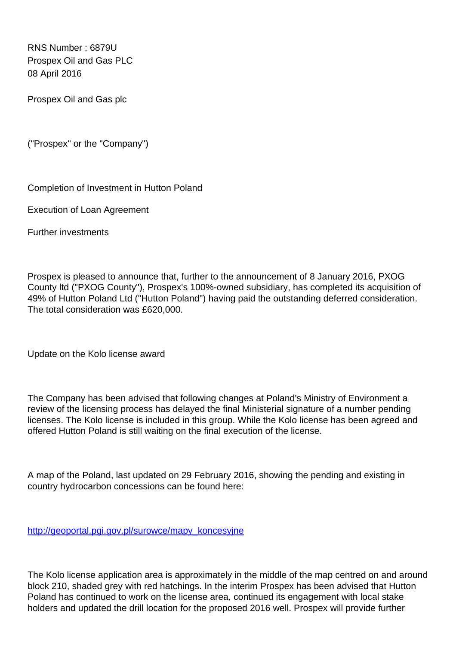RNS Number : 6879U Prospex Oil and Gas PLC 08 April 2016

Prospex Oil and Gas plc

("Prospex" or the "Company")

Completion of Investment in Hutton Poland

Execution of Loan Agreement

Further investments

Prospex is pleased to announce that, further to the announcement of 8 January 2016, PXOG County ltd ("PXOG County"), Prospex's 100%-owned subsidiary, has completed its acquisition of 49% of Hutton Poland Ltd ("Hutton Poland") having paid the outstanding deferred consideration. The total consideration was £620,000.

Update on the Kolo license award

The Company has been advised that following changes at Poland's Ministry of Environment a review of the licensing process has delayed the final Ministerial signature of a number pending licenses. The Kolo license is included in this group. While the Kolo license has been agreed and offered Hutton Poland is still waiting on the final execution of the license.

A map of the Poland, last updated on 29 February 2016, showing the pending and existing in country hydrocarbon concessions can be found here:

[http://geoportal.pgi.gov.pl/surowce/mapy\\_koncesyjne](http://geoportal.pgi.gov.pl/surowce/mapy_koncesyjne)

The Kolo license application area is approximately in the middle of the map centred on and around block 210, shaded grey with red hatchings. In the interim Prospex has been advised that Hutton Poland has continued to work on the license area, continued its engagement with local stake holders and updated the drill location for the proposed 2016 well. Prospex will provide further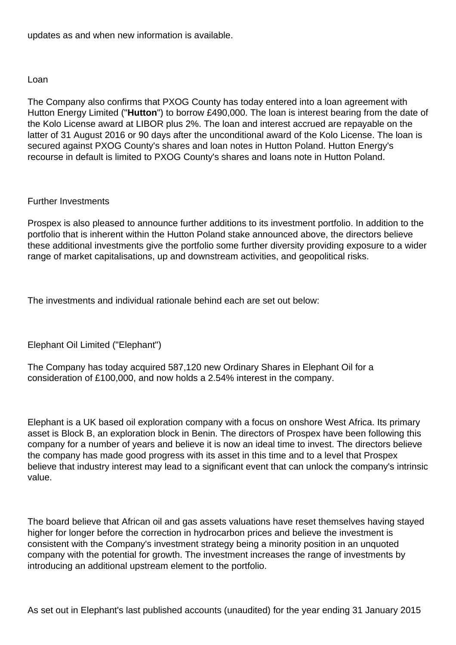updates as and when new information is available.

## Loan

The Company also confirms that PXOG County has today entered into a loan agreement with Hutton Energy Limited ("**Hutton**") to borrow £490,000. The loan is interest bearing from the date of the Kolo License award at LIBOR plus 2%. The loan and interest accrued are repayable on the latter of 31 August 2016 or 90 days after the unconditional award of the Kolo License. The loan is secured against PXOG County's shares and loan notes in Hutton Poland. Hutton Energy's recourse in default is limited to PXOG County's shares and loans note in Hutton Poland.

## Further Investments

Prospex is also pleased to announce further additions to its investment portfolio. In addition to the portfolio that is inherent within the Hutton Poland stake announced above, the directors believe these additional investments give the portfolio some further diversity providing exposure to a wider range of market capitalisations, up and downstream activities, and geopolitical risks.

The investments and individual rationale behind each are set out below:

Elephant Oil Limited ("Elephant")

The Company has today acquired 587,120 new Ordinary Shares in Elephant Oil for a consideration of £100,000, and now holds a 2.54% interest in the company.

Elephant is a UK based oil exploration company with a focus on onshore West Africa. Its primary asset is Block B, an exploration block in Benin. The directors of Prospex have been following this company for a number of years and believe it is now an ideal time to invest. The directors believe the company has made good progress with its asset in this time and to a level that Prospex believe that industry interest may lead to a significant event that can unlock the company's intrinsic value.

The board believe that African oil and gas assets valuations have reset themselves having stayed higher for longer before the correction in hydrocarbon prices and believe the investment is consistent with the Company's investment strategy being a minority position in an unquoted company with the potential for growth. The investment increases the range of investments by introducing an additional upstream element to the portfolio.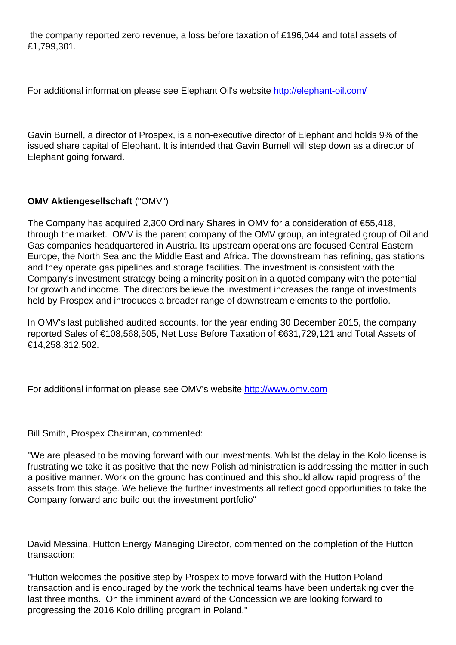the company reported zero revenue, a loss before taxation of £196,044 and total assets of £1,799,301.

For additional information please see Elephant Oil's website <http://elephant-oil.com/>

Gavin Burnell, a director of Prospex, is a non-executive director of Elephant and holds 9% of the issued share capital of Elephant. It is intended that Gavin Burnell will step down as a director of Elephant going forward.

## **OMV Aktiengesellschaft** ("OMV")

The Company has acquired 2,300 Ordinary Shares in OMV for a consideration of €55,418, through the market. OMV is the parent company of the OMV group, an integrated group of Oil and Gas companies headquartered in Austria. Its upstream operations are focused Central Eastern Europe, the North Sea and the Middle East and Africa. The downstream has refining, gas stations and they operate gas pipelines and storage facilities. The investment is consistent with the Company's investment strategy being a minority position in a quoted company with the potential for growth and income. The directors believe the investment increases the range of investments held by Prospex and introduces a broader range of downstream elements to the portfolio.

In OMV's last published audited accounts, for the year ending 30 December 2015, the company reported Sales of €108,568,505, Net Loss Before Taxation of €631,729,121 and Total Assets of €14,258,312,502.

For additional information please see OMV's website <http://www.omv.com>

Bill Smith, Prospex Chairman, commented:

"We are pleased to be moving forward with our investments. Whilst the delay in the Kolo license is frustrating we take it as positive that the new Polish administration is addressing the matter in such a positive manner. Work on the ground has continued and this should allow rapid progress of the assets from this stage. We believe the further investments all reflect good opportunities to take the Company forward and build out the investment portfolio"

David Messina, Hutton Energy Managing Director, commented on the completion of the Hutton transaction:

"Hutton welcomes the positive step by Prospex to move forward with the Hutton Poland transaction and is encouraged by the work the technical teams have been undertaking over the last three months. On the imminent award of the Concession we are looking forward to progressing the 2016 Kolo drilling program in Poland."